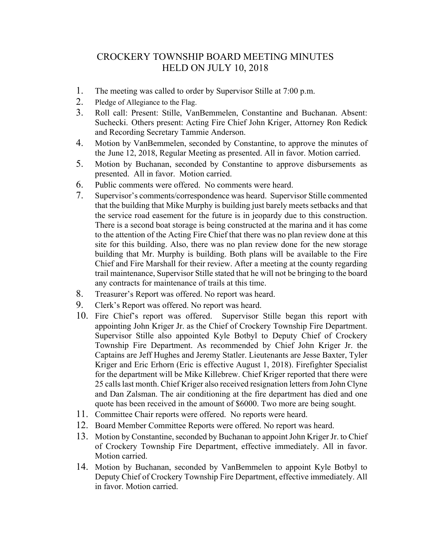## CROCKERY TOWNSHIP BOARD MEETING MINUTES HELD ON JULY 10, 2018

- 1. The meeting was called to order by Supervisor Stille at 7:00 p.m.
- 2. Pledge of Allegiance to the Flag.
- 3. Roll call: Present: Stille, VanBemmelen, Constantine and Buchanan. Absent: Suchecki. Others present: Acting Fire Chief John Kriger, Attorney Ron Redick and Recording Secretary Tammie Anderson.
- 4. Motion by VanBemmelen, seconded by Constantine, to approve the minutes of the June 12, 2018, Regular Meeting as presented. All in favor. Motion carried.
- 5. Motion by Buchanan, seconded by Constantine to approve disbursements as presented. All in favor. Motion carried.
- 6. Public comments were offered. No comments were heard.
- 7. Supervisor's comments/correspondence was heard. Supervisor Stille commented that the building that Mike Murphy is building just barely meets setbacks and that the service road easement for the future is in jeopardy due to this construction. There is a second boat storage is being constructed at the marina and it has come to the attention of the Acting Fire Chief that there was no plan review done at this site for this building. Also, there was no plan review done for the new storage building that Mr. Murphy is building. Both plans will be available to the Fire Chief and Fire Marshall for their review. After a meeting at the county regarding trail maintenance, Supervisor Stille stated that he will not be bringing to the board any contracts for maintenance of trails at this time.
- 8. Treasurer's Report was offered. No report was heard.
- 9. Clerk's Report was offered. No report was heard.
- 10. Fire Chief's report was offered. Supervisor Stille began this report with appointing John Kriger Jr. as the Chief of Crockery Township Fire Department. Supervisor Stille also appointed Kyle Botbyl to Deputy Chief of Crockery Township Fire Department. As recommended by Chief John Kriger Jr. the Captains are Jeff Hughes and Jeremy Statler. Lieutenants are Jesse Baxter, Tyler Kriger and Eric Erhorn (Eric is effective August 1, 2018). Firefighter Specialist for the department will be Mike Killebrew. Chief Kriger reported that there were 25 calls last month. Chief Kriger also received resignation letters from John Clyne and Dan Zalsman. The air conditioning at the fire department has died and one quote has been received in the amount of \$6000. Two more are being sought.
- 11. Committee Chair reports were offered. No reports were heard.
- 12. Board Member Committee Reports were offered. No report was heard.
- 13. Motion by Constantine, seconded by Buchanan to appoint John Kriger Jr. to Chief of Crockery Township Fire Department, effective immediately. All in favor. Motion carried.
- 14. Motion by Buchanan, seconded by VanBemmelen to appoint Kyle Botbyl to Deputy Chief of Crockery Township Fire Department, effective immediately. All in favor. Motion carried.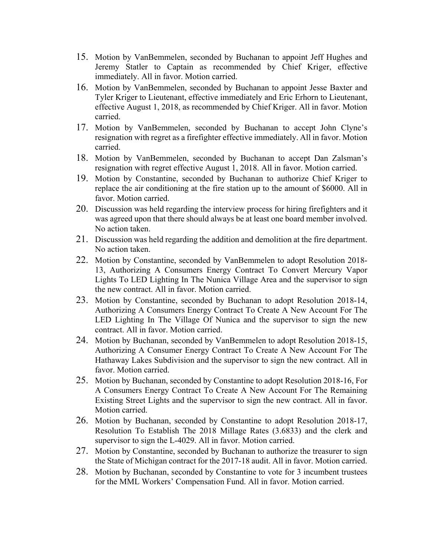- 15. Motion by VanBemmelen, seconded by Buchanan to appoint Jeff Hughes and Jeremy Statler to Captain as recommended by Chief Kriger, effective immediately. All in favor. Motion carried.
- 16. Motion by VanBemmelen, seconded by Buchanan to appoint Jesse Baxter and Tyler Kriger to Lieutenant, effective immediately and Eric Erhorn to Lieutenant, effective August 1, 2018, as recommended by Chief Kriger. All in favor. Motion carried.
- 17. Motion by VanBemmelen, seconded by Buchanan to accept John Clyne's resignation with regret as a firefighter effective immediately. All in favor. Motion carried.
- 18. Motion by VanBemmelen, seconded by Buchanan to accept Dan Zalsman's resignation with regret effective August 1, 2018. All in favor. Motion carried.
- 19. Motion by Constantine, seconded by Buchanan to authorize Chief Kriger to replace the air conditioning at the fire station up to the amount of \$6000. All in favor. Motion carried.
- 20. Discussion was held regarding the interview process for hiring firefighters and it was agreed upon that there should always be at least one board member involved. No action taken.
- 21. Discussion was held regarding the addition and demolition at the fire department. No action taken.
- 22. Motion by Constantine, seconded by VanBemmelen to adopt Resolution 2018- 13, Authorizing A Consumers Energy Contract To Convert Mercury Vapor Lights To LED Lighting In The Nunica Village Area and the supervisor to sign the new contract. All in favor. Motion carried.
- 23. Motion by Constantine, seconded by Buchanan to adopt Resolution 2018-14, Authorizing A Consumers Energy Contract To Create A New Account For The LED Lighting In The Village Of Nunica and the supervisor to sign the new contract. All in favor. Motion carried.
- 24. Motion by Buchanan, seconded by VanBemmelen to adopt Resolution 2018-15, Authorizing A Consumer Energy Contract To Create A New Account For The Hathaway Lakes Subdivision and the supervisor to sign the new contract. All in favor. Motion carried.
- 25. Motion by Buchanan, seconded by Constantine to adopt Resolution 2018-16, For A Consumers Energy Contract To Create A New Account For The Remaining Existing Street Lights and the supervisor to sign the new contract. All in favor. Motion carried.
- 26. Motion by Buchanan, seconded by Constantine to adopt Resolution 2018-17, Resolution To Establish The 2018 Millage Rates (3.6833) and the clerk and supervisor to sign the L-4029. All in favor. Motion carried.
- 27. Motion by Constantine, seconded by Buchanan to authorize the treasurer to sign the State of Michigan contract for the 2017-18 audit. All in favor. Motion carried.
- 28. Motion by Buchanan, seconded by Constantine to vote for 3 incumbent trustees for the MML Workers' Compensation Fund. All in favor. Motion carried.